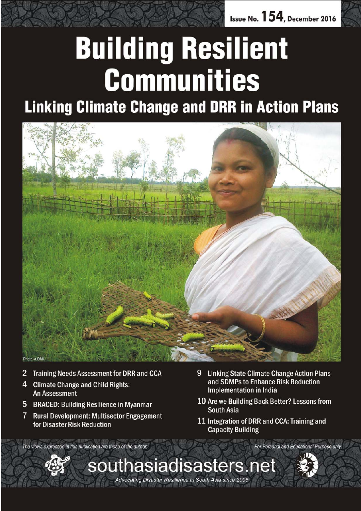

# **Building Resilient Communities**

**Linking Climate Change and DRR in Action Plans** 



- 2 **Training Needs Assessment for DRR and CCA**
- **Climate Change and Child Rights:** 4 **An Assessment**
- 5 BRACED: Building Resilience in Myanmar
- $7^{\circ}$ **Rural Development: Multisector Engagement** for Disaster Risk Reduction
- 9 **Linking State Climate Change Action Plans** and SDMPs to Enhance Risk Reduction **Implementation in India**
- 10 Are we Building Back Better? Lessons from South Asia
- 11 Integration of DRR and CCA: Training and **Capacity Building**

The views expressed in this publication are those of the author.

**For Personal and Educational Purpose only** 

Advocating Disaster Resilience in South Asia since 2005

*December 2016 southasiadisasters.net 1*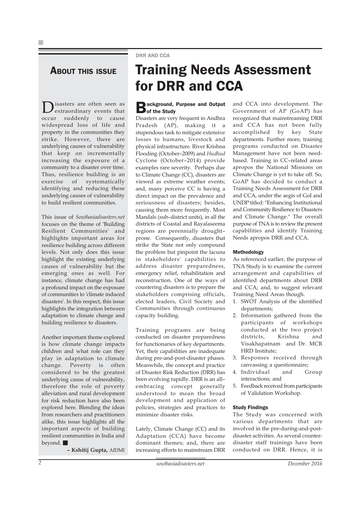### DRR AND CCA

### **ABOUT THIS ISSUE**

Disasters are often seen as extraordinary events that occur suddenly to cause widespread loss of life and property in the communities they strike. However, there are underlying causes of vulnerability that keep on incrementally increasing the exposure of a community to a disaster over time. Thus, resilience building is an<br>exercise of systematically exercise of systematically identifying and reducing these underlying causes of vulnerability to build resilient communities.

This issue of *Southasiadisasters.net* focuses on the theme of 'Building Resilient Communities' and highlights important areas for resilience building across different levels. Not only does this issue highlight the existing underlying causes of vulnerability but the emerging ones as well. For instance, climate change has had a profound impact on the exposure of communities to 'climate induced disasters'. In this respect, this issue highlights the integration between adaptation to climate change and building resilience to disasters.

Another important theme explored is how climate change impacts children and what role can they play in adaptation to climate change. Poverty is often considered to be the greatest underlying cause of vulnerability, therefore the role of poverty alleviation and rural development for risk reduction have also been explored here. Blending the ideas from researchers and practitioners alike, this issue highlights all the important aspects of building resilient communities in India and beyond.

**– Kshitij Gupta,** AIDMI

### Training Needs Assessment for DRR and CCA

# **Background, Purpose and Output**<br> **D** of the Study

Disasters are very frequent in Andhra Pradesh (AP), making it a stupendous task to mitigate extensive losses to humans, livestock and physical infrastructure. River Krishna Flooding (October–2009) and *Hudhud* Cyclone (October–2014) provide examples rare severity. Perhaps due to Climate Change (CC), disasters are viewed as extreme weather events; and, many perceive CC is having a direct impact on the prevalence and seriousness of disasters; besides, causing them more frequently. Most Mandals (sub–district units), in all the districts of Coastal and Rayalaseema regions are perennially drought– prone. Consequently, disasters that strike the State not only compound the problem but pinpoint the lacuna in stakeholders' capabilities to address disaster preparedness, emergency relief, rehabilitation and reconstruction. One of the ways of countering disasters is to prepare the stakeholders comprising officials, elected leaders, Civil Society and Communities through continuous capacity building.

Training programs are being conducted on disaster preparedness for functionaries of key departments. Yet, their capabilities are inadequate during pre-and-post-disaster phases. Meanwhile, the concept and practice of Disaster Risk Reduction (DRR) has been evolving rapidly. DRR is an all– embracing concept generally understood to mean the broad development and application of policies, strategies and practices to minimize disaster risks.

Lately, Climate Change (CC) and its Adaptation (CCA) have become dominant themes; and, there are increasing efforts to mainstream DRR and CCA into development. The Government of AP (GoAP) has recognized that mainstreaming DRR and CCA has not been fully accomplished by key State departments. Further more, training programs conducted on Disaster Management have not been needbased. Training in CC–related areas apropos the National Missions on Climate Change is yet to take off. So, GoAP has decided to conduct a Training Needs Assessment for DRR and CCA, under the aegis of GoI and UNDP titled: "Enhancing Institutional and Community Resilience to Disasters and Climate Change." The overall purpose of TNA is to review the present capabilities and identify Training Needs apropos DRR and CCA.

#### Methodology

As referenced earlier, the purpose of TNA Study is to examine the current arrangement and capabilities of identified departments about DRR and CCA; and, to suggest relevant Training Need Areas though.

- 1. SWOT Analysis of the identified departments;
- 2. Information gathered from the participants of workshops conducted at the two project districts, Krishna and Visakhapatnam and Dr. MCR HRD Institute;
- 3. Responses received through canvassing a questionnaire;
- 4. Individual and Group interactions; and
- 5. Feedback received from participants of Validation Workshop.

#### Study Findings

The Study was concerned with various departments that are involved in the pre-during-and-postdisaster activities. As several counterdisaster staff trainings have been conducted on DRR. Hence, it is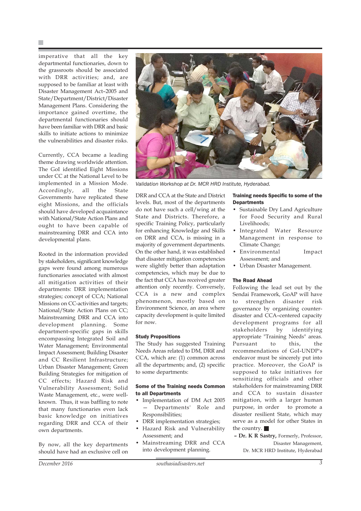imperative that all the key departmental functionaries, down to the grassroots should be associated with DRR activities; and, are supposed to be familiar at least with Disaster Management Act–2005 and State/Department/District/Disaster Management Plans. Considering the importance gained overtime, the departmental functionaries should have been familiar with DRR and basic skills to initiate actions to minimize the vulnerabilities and disaster risks.

Currently, CCA became a leading theme drawing worldwide attention. The GoI identified Eight Missions under CC at the National Level to be implemented in a Mission Mode. Accordingly, all the State Governments have replicated these eight Missions, and the officials should have developed acquaintance with National/State Action Plans and ought to have been capable of mainstreaming DRR and CCA into developmental plans.

Rooted in the information provided by stakeholders, significant knowledge gaps were found among numerous functionaries associated with almost all mitigation activities of their departments: DRR implementation strategies; concept of CCA; National Missions on CC-activities and targets; National/State Action Plans on CC; Mainstreaming DRR and CCA into development planning. Some department-specific gaps in skills encompassing Integrated Soil and Water Management; Environmental Impact Assessment; Building Disaster and CC Resilient Infrastructure; Urban Disaster Management; Green Building Strategies for mitigation of CC effects; Hazard Risk and Vulnerability Assessment; Solid Waste Management, etc., were wellknown. Thus, it was baffling to note that many functionaries even lack basic knowledge on initiatives regarding DRR and CCA of their own departments.

By now, all the key departments should have had an exclusive cell on



*Validation Workshop at Dr. MCR HRD Institute, Hyderabad.*

DRR and CCA at the State and District levels. But, most of the departments do not have such a cell/wing at the State and Districts. Therefore, a specific Training Policy, particularly for enhancing Knowledge and Skills on DRR and CCA, is missing in a majority of government departments. On the other hand, it was established that disaster mitigation competencies were slightly better than adaptation competencies, which may be due to the fact that CCA has received greater attention only recently. Conversely, CCA is a new and complex phenomenon, mostly based on Environment Science, an area where capacity development is quite limited for now.

#### Study Propositions

The Study has suggested Training Needs Areas related to DM, DRR and CCA, which are: (1) common across all the departments; and, (2) specific to some departments:

#### Some of the Training needs Common to all Departments

- Implementation of DM Act 2005 — Departments' Role and Responsibilities;
- DRR implementation strategies;
- Hazard Risk and Vulnerability Assessment; and
- Mainstreaming DRR and CCA into development planning.

#### Training needs Specific to some of the **Departments**

- Sustainable Dry Land Agriculture for Food Security and Rural Livelihoods;
- Integrated Water Resource Management in response to Climate Change;
- Environmental Impact Assessment; and
- Urban Disaster Management.

#### The Road Ahead

Following the lead set out by the Sendai Framework, GoAP will have to strengthen disaster risk governance by organizing counterdisaster and CCA–centered capacity development programs for all stakeholders by identifying appropriate "Training Needs" areas. Pursuant to this, the recommendations of GoI-UNDP's endeavor must be sincerely put into practice. Moreover, the GoAP is supposed to take initiatives for sensitizing officials and other stakeholders for mainstreaming DRR and CCA to sustain disaster mitigation, with a larger human purpose, in order to promote a disaster resilient State, which may serve as a model for other States in the country.

**– Dr. K R Sastry,** Formerly, Professor, Disaster Management, Dr. MCR HRD Institute, Hyderabad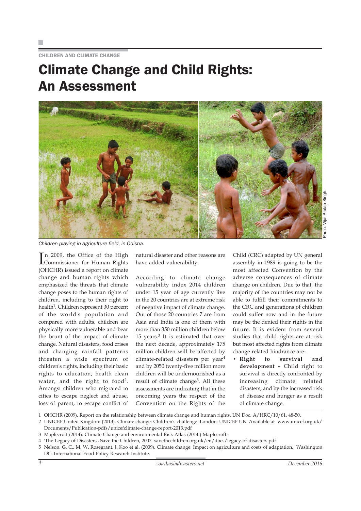CHILDREN AND CLIMATE CHANGE

### Climate Change and Child Rights: An Assessment



*Children playing in agriculture field, in Odisha.*

I Commissioner for Human Rights n 2009, the Office of the High (OHCHR) issued a report on climate change and human rights which emphasized the threats that climate change poses to the human rights of children, including to their right to health<sup>1</sup>. Children represent 30 percent of the world's population and compared with adults, children are physically more vulnerable and bear the brunt of the impact of climate change. Natural disasters, food crises and changing rainfall patterns threaten a wide spectrum of children's rights, including their basic rights to education, health clean water, and the right to food<sup>2</sup>. Amongst children who migrated to cities to escape neglect and abuse, loss of parent, to escape conflict of

natural disaster and other reasons are have added vulnerability.

According to climate change vulnerability index 2014 children under 15 year of age currently live in the 20 countries are at extreme risk of negative impact of climate change. Out of those 20 countries 7 are from Asia and India is one of them with more than 350 million children below 15 years. $3$  It is estimated that over the next decade, approximately 175 million children will be affected by climate-related disasters per year<sup>4</sup> and by 2050 twenty-five million more children will be undernourished as a result of climate change<sup>5</sup>. All these assessments are indicating that in the oncoming years the respect of the Convention on the Rights of the

Child (CRC) adapted by UN general assembly in 1989 is going to be the most affected Convention by the adverse consequences of climate change on children. Due to that, the majority of the countries may not be able to fulfill their commitments to the CRC and generations of children could suffer now and in the future may be the denied their rights in the future. It is evident from several studies that child rights are at risk but most affected rights from climate change related hindrance are-

**• Right to survival and development –** Child right to survival is directly confronted by increasing climate related disasters, and by the increased risk of disease and hunger as a result of climate change.

1 OHCHR (2009). Report on the relationship between climate change and human rights. UN Doc. A/HRC/10/61, 48-50.

2 UNICEF United Kingdom (2013). Climate change: Children's challenge. London: UNICEF UK. Available at www.unicef.org.uk/ Documents/Publication-pdfs/unicefclimate-change-report-2013.pdf

- 
- 4 'The Legacy of Disasters', Save the Children, 2007. savethechildren.org.uk/en/docs/legacy-of-disasters.pdf
- 5 Nelson, G. C., M. W. Rosegrant, J. Koo et al. (2009). Climate change: Impact on agriculture and costs of adaptation. Washington DC: International Food Policy Research Institute.

<sup>3</sup> Maplecroft (2014): Climate Change and environmental Risk Atlas (2014.) Maplecroft.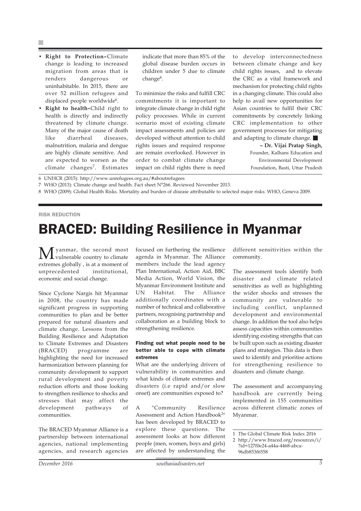- **Right to Protection–**Climate change is leading to increased migration from areas that is renders dangerous or uninhabitable. In 2015, there are over 52 million refugees and displaced people worldwide<sup>6</sup>.
- **Right to health–**Child right to health is directly and indirectly threatened by climate change. Many of the major cause of death like diarrheal diseases, malnutrition, malaria and dengue are highly climate sensitive. And are expected to worsen as the climate changes7. Estimates

indicate that more than 85% of the global disease burden occurs in children under 5 due to climate change<sup>8</sup>.

To minimize the risks and fulfill CRC commitments it is important to integrate climate change in child right policy processes. While in current scenario most of existing climate impact assessments and policies are developed without attention to child rights issues and required response are remain overlooked. However in order to combat climate change impact on child rights there is need

to develop interconnectedness between climate change and key child rights issues, and to elevate the CRC as a vital framework and mechanism for protecting child rights in a changing climate. This could also help to avail new opportunities for Asian countries to fulfil their CRC commitments by concretely linking CRC implementation to other government processes for mitigating and adapting to climate change.

**– Dr. Vijai Pratap Singh,** Founder, Kalhans Education and Environmental Development Foundation, Basti, Uttar Pradesh

6 UNHCR (2015): http://www.unrefugees.org.au/#aboutrefugees

- 7 WHO (2013): Climate change and health. Fact sheet N°266. Reviewed November 2013.
- 8 WHO (2009): Global Health Risks. Mortality and burden of disease attributable to selected major risks. WHO, Geneva 2009.

#### RISK REDUCTION

### BRACED: Building Resilience in Myanmar

**M** yanmar, the second most extremes globally , is at a moment of unprecedented institutional, economic and social change.

Since Cyclone Nargis hit Myanmar in 2008, the country has made significant progress in supporting communities to plan and be better prepared for natural disasters and climate change. Lessons from the Building Resilience and Adaptation to Climate Extremes and Disasters (BRACED) programme are highlighting the need for increased harmonization between planning for community development to support rural development and poverty reduction efforts and those looking to strengthen resilience to shocks and stresses that may affect the development pathways of communities.

The BRACED Myanmar Alliance is a partnership between international agencies, national implementing agencies, and research agencies focused on furthering the resilience agenda in Myanmar. The Alliance members include the lead agency Plan International, Action Aid, BBC Media Action, World Vision, the Myanmar Environment Institute and UN Habitat. The Alliance additionally coordinates with a number of technical and collaborative partners, recognising partnership and collaboration as a building block to strengthening resilience.

#### Finding out what people need to be better able to cope with climate extremes

What are the underlying drivers of vulnerability in communities and what kinds of climate extremes and disasters (i.e rapid and/or slow onset) are communities exposed to?

A "Community Resilience Assessment and Action Handbook<sup>2"</sup> has been developed by BRACED to explore these questions. The assessment looks at how different people (men, women, boys and girls) are affected by understanding the different sensitivities within the community.

The assessment tools identify both disaster and climate related sensitivities as well as highlighting the wider shocks and stresses the community are vulnerable to including conflict, unplanned development and environmental change. In addition the tool also helps assess capacities within communities identifying existing strengths that can be built upon such as existing disaster plans and strategies. This data is then used to identify and prioritise actions for strengthening resilience to disasters and climate change.

The assessment and accompanying handbook are currently being implemented in 155 communities across different climatic zones of Myanmar.

<sup>1</sup> The Global Climate Risk Index 2016

<sup>2</sup> http://www.braced.org/resources/i/ ?id=127f0e24-a44a-4468-abca-96db853f6558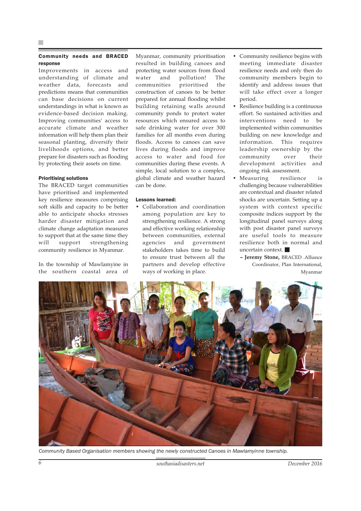#### Community needs and BRACED response

Improvements in access and understanding of climate and weather data, forecasts and predictions means that communities can base decisions on current understandings in what is known as evidence-based decision making. Improving communities' access to accurate climate and weather information will help them plan their seasonal planting, diversify their livelihoods options, and better prepare for disasters such as flooding by protecting their assets on time.

#### Prioritising solutions

The BRACED target communities have prioritised and implemented key resilience measures comprising soft skills and capacity to be better able to anticipate shocks stresses harder disaster mitigation and climate change adaptation measures to support that at the same time they will support strengthening community resilience in Myanmar.

In the township of Mawlamyine in the southern coastal area of Myanmar, community prioritisation resulted in building canoes and protecting water sources from flood water and pollution! The communities prioritised the construction of canoes to be better prepared for annual flooding whilst building retaining walls around community ponds to protect water resources which ensured access to safe drinking water for over 300 families for all months even during floods. Access to canoes can save lives during floods and improve access to water and food for communities during these events. A simple, local solution to a complex, global climate and weather hazard can be done.

#### Lessons learned:

• Collaboration and coordination among population are key to strengthening resilience. A strong and effective working relationship between communities, external agencies and government stakeholders takes time to build to ensure trust between all the partners and develop effective ways of working in place.

- Community resilience begins with meeting immediate disaster resilience needs and only then do community members begin to identify and address issues that will take effect over a longer period.
- Resilience building is a continuous effort. So sustained activities and interventions need to be implemented within communities building on new knowledge and information. This requires leadership ownership by the community over their development activities and ongoing risk assessment.
- Measuring resilience is challenging because vulnerabilities are contextual and disaster related shocks are uncertain. Setting up a system with context specific composite indices support by the longitudinal panel surveys along with post disaster panel surveys are useful tools to measure resilience both in normal and uncertain context.
	- **Jeremy Stone,** BRACED .Alliance Coordinator, Plan International, Myanmar



*Community Based Organisation members showing the newly constructed Canoes in Mawlamyinne township.*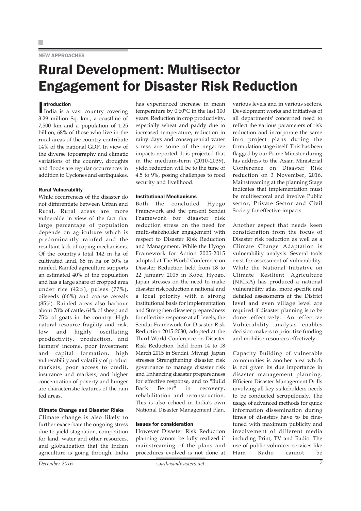#### NEW APPROACHES

### Rural Development: Multisector Engagement for Disaster Risk Reduction

#### ntroduction

ntroduction<br>India is a vast country covering 3.29 million Sq. km., a coastline of 7,500 km and a population of 1.25 billion, 68% of those who live in the rural areas of the country contribute 14% of the national GDP. In view of the diverse topography and climatic variations of the country, droughts and floods are regular occurrences in addition to Cyclones and earthquakes.

#### Rural Vulnerability

While occurrences of the disaster do not differentiate between Urban and Rural, Rural areas are more vulnerable in view of the fact that large percentage of population depends on agriculture which is predominantly rainfed and the resultant lack of coping mechanisms. Of the country's total 142 m ha of cultivated land, 85 m ha or 60% is rainfed. Rainfed agriculture supports an estimated 40% of the population and has a large share of cropped area under rice (42%), pulses (77%), oilseeds (66%) and coarse cereals (85%). Rainfed areas also harbour about 78% of cattle, 64% of sheep and 75% of goats in the country. High natural resource fragility and risk, low and highly oscillating productivity, production, and farmers' income, poor investment and capital formation, high vulnerability and volatility of product markets, poor access to credit, insurance and markets, and higher concentration of poverty and hunger are characteristic features of the rain fed areas.

#### Climate Change and Disaster Risks

Climate change is also likely to further exacerbate the ongoing stress due to yield stagnation, competition for land, water and other resources, and globalization that the Indian agriculture is going through. India

has experienced increase in mean temperature by 0.60°C in the last 100 years. Reduction in crop productivity, especially wheat and paddy due to increased temperature, reduction in rainy days and consequential water stress are some of the negative impacts reported. It is projected that in the medium-term (2010-2039), yield reduction will be to the tune of 4.5 to 9%, posing challenges to food security and livelihood.

#### Institutional Mechanisms

Both the concluded Hyogo Framework and the present Sendai Framework for disaster risk reduction stress on the need for multi-stakeholder engagement with respect to Disaster Risk Reduction and Management. While the Hyogo Framework for Action 2005-2015 adopted at The World Conference on Disaster Reduction held from 18 to 22 January 2005 in Kobe, Hyogo, Japan stresses on the need to make disaster risk reduction a national and a local priority with a strong institutional basis for implementation and Strengthen disaster preparedness for effective response at all levels, the Sendai Framework for Disaster Risk Reduction 2015-2030, adopted at the Third World Conference on Disaster Risk Reduction, held from 14 to 18 March 2015 in Sendai, Miyagi, Japan stresses Strengthening disaster risk governance to manage disaster risk and Enhancing disaster preparedness for effective response, and to "Build Back Better" in recovery, rehabilitation and reconstruction. This is also echoed in India's own National Disaster Management Plan.

#### Issues for consideration

However Disaster Risk Reduction planning cannot be fully realized if mainstreaming of the plans and procedures evolved is not done at

various levels and in various sectors. Development works and initiatives of all departments' concerned need to reflect the various parameters of risk reduction and incorporate the same into project plans during the formulation stage itself. This has been flagged by our Prime Minister during his address to the Asian Ministerial Conference on Disaster Risk reduction on 3 November, 2016. Mainstreaming at the planning Stage indicates that implementation must be multisectoral and involve Public sector, Private Sector and Civil Society for effective impacts.

Another aspect that needs keen consideration from the focus of Disaster risk reduction as well as a Climate Change Adaptation is vulnerability analysis. Several tools exist for assessment of vulnerability. While the National Initiative on Climate Resilient Agriculture (NICRA) has produced a national vulnerability atlas, more specific and detailed assessments at the District level and even village level are required if disaster planning is to be done effectively. An effective Vulnerability analysis enables decision makers to prioritize funding and mobilise resources effectively.

Capacity Building of vulnerable communities is another area which is not given its due importance in disaster management planning. Efficient Disaster Management Drills involving all key stakeholders needs to be conducted scrupulously. The usage of advanced methods for quick information dissemination during times of disasters have to be finetuned with maximum publicity and involvement of different media including Print, TV and Radio. The use of public volunteer services like Ham Radio cannot be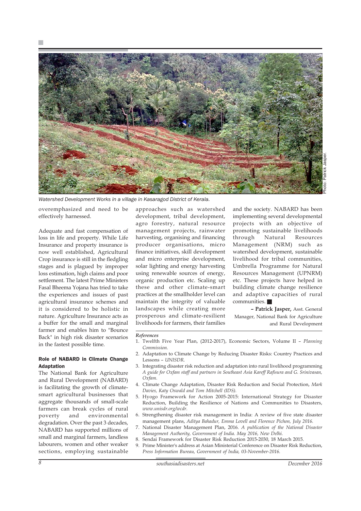

*Watershed Development Works in a village in Kasaragod District of Kerala.*

overemphasized and need to be effectively harnessed.

Adequate and fast compensation of loss in life and property. While Life Insurance and property insurance is now well established, Agricultural Crop insurance is still in the fledgling stages and is plagued by improper loss estimation, high claims and poor settlement. The latest Prime Ministers Fasal Bheema Yojana has tried to take the experiences and issues of past agricultural insurance schemes and it is considered to be holistic in nature. Agriculture Insurance acts as a buffer for the small and marginal farmer and enables him to "Bounce Back" in high risk disaster scenarios in the fastest possible time.

#### Role of NABARD in Climate Change Adaptation

The National Bank for Agriculture and Rural Development (NABARD) is facilitating the growth of climatesmart agricultural businesses that aggregate thousands of small-scale farmers can break cycles of rural poverty and environmental degradation. Over the past 3 decades, NABARD has supported millions of small and marginal farmers, landless labourers, women and other weaker sections, employing sustainable

approaches such as watershed development, tribal development, agro forestry, natural resource management projects, rainwater harvesting, organising and financing producer organisations, micro finance initiatives, skill development and micro enterprise development, solar lighting and energy harvesting using renewable sources of energy, organic production etc. Scaling up these and other climate-smart practices at the smallholder level can maintain the integrity of valuable landscapes while creating more prosperous and climate-resilient livelihoods for farmers, their families

and the society. NABARD has been implementing several developmental projects with an objective of promoting sustainable livelihoods through Natural Resources Management (NRM) such as watershed development, sustainable livelihood for tribal communities, Umbrella Programme for Natural Resources Management (UPNRM) etc. These projects have helped in building climate change resilience and adaptive capacities of rural communities.

**– Patrick Jasper,** Asst. General Manager, National Bank for Agriculture and Rural Development

#### *References*

- 1. Twelfth Five Year Plan, (2012-2017), Economic Sectors, Volume II *Planning Commission.*
- 2. Adaptation to Climate Change by Reducing Disaster Risks: Country Practices and Lessons – *UNISDR.*
- 3. Integrating disaster risk reduction and adaptation into rural livelihood programming *A guide for Oxfam staff and partners in Southeast Asia Kareff Rafisura and G. Srinivasan, Oxfam.*
- 4. Climate Change Adaptation, Disaster Risk Reduction and Social Protection, *Mark Davies, Katy Oswald and Tom Mitchell (IDS).*
- 5. Hyogo Framework for Action 2005-2015: International Strategy for Disaster Reduction, Building the Resilience of Nations and Communities to Disasters, *www.unisdr.org/wcdr.*
- 6. Strengthening disaster risk management in India: A review of five state disaster management plans, *Aditya Bahadur, Emma Lovell and Florence Pichon, July 2016.*
- 7. National Disaster Management Plan, 2016. *A publication of the National Disaster Management Authority, Government of India. May 2016, New Delhi.*
- 8. Sendai Framework for Disaster Risk Reduction 2015-2030, 18 March 2015.
- 9. Prime Minister's address at Asian Ministerial Conference on Disaster Risk Reduction, *Press Information Bureau, Government of India, 03-November-2016.*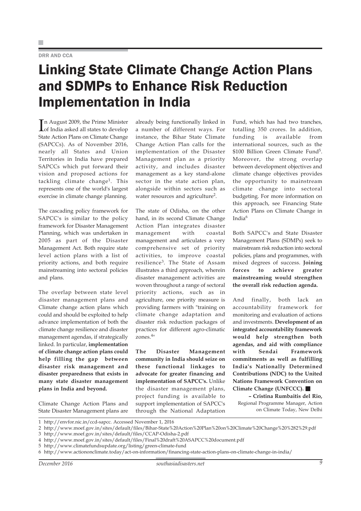#### DRR AND CCA

### Linking State Climate Change Action Plans and SDMPs to Enhance Risk Reduction Implementation in India

In August 2009, the Prime Minister<br>of India asked all states to develop n August 2009, the Prime Minister State Action Plans on Climate Change (SAPCCs). As of November 2016, nearly all States and Union Territories in India have prepared SAPCCs which put forward their vision and proposed actions for tackling climate change1. This represents one of the world's largest exercise in climate change planning.

The cascading policy framework for SAPCC's is similar to the policy framework for Disaster Management Planning, which was undertaken in 2005 as part of the Disaster Management Act. Both require state level action plans with a list of priority actions, and both require mainstreaming into sectoral policies and plans.

The overlap between state level disaster management plans and Climate change action plans which could and should be exploited to help advance implementation of both the climate change resilience and disaster management agendas, if strategically linked. In particular, **implementation of climate change action plans could help filling the gap between disaster risk management and disaster preparedness that exists in many state disaster management plans in India and beyond.**

Climate Change Action Plans and State Disaster Management plans are already being functionally linked in a number of different ways. For instance, the Bihar State Climate Change Action Plan calls for the implementation of the Disaster Management plan as a priority activity, and includes disaster management as a key stand-alone sector in the state action plan, alongside within sectors such as water resources and agriculture<sup>2</sup>.

The state of Odisha, on the other hand, in its second Climate Change Action Plan integrates disaster management with coastal management and articulates a very comprehensive set of priority activities, to improve coastal resilience3. The State of Assam illustrates a third approach, wherein disaster management activities are woven throughout a range of sectoral priority actions, such as in agriculture, one priority measure is providing farmers with "training on climate change adaptation and disaster risk reduction packages of practices for different agro-climatic zones.4"

**The Disaster Management community in India should seize on these functional linkages to advocate for greater financing and implementation of SAPCC's.** Unlike the disaster management plans, project funding is available to support implementation of SAPCC's through the National Adaptation Fund, which has had two tranches, totalling 350 crores. In addition, funding is available from international sources, such as the \$100 Billion Green Climate Fund<sup>5</sup>. Moreover, the strong overlap between development objectives and climate change objectives provides the opportunity to mainstream climate change into sectoral budgeting. For more information on this approach, see Financing State Action Plans on Climate Change in India<sup>6</sup>

Both SAPCC's and State Disaster Management Plans (SDMPs) seek to mainstream risk reduction into sectoral policies, plans and programmes, with mixed degrees of success. **Joining forces to achieve greater mainstreaming would strengthen the overall risk reduction agenda.**

And finally, both lack an accountability framework for monitoring and evaluation of actions and investments. **Development of an integrated accountability framework would help strengthen both agendas, and aid with compliance with Sendai Framework commitments as well as fulfilling India's Nationally Determined Contributions (NDC) to the United Nations Framework Convention on Climate Change (UNFCCC).**

**– Cristina Rumbaitis del Rio,** Regional Programme Manager, Action on Climate Today, New Delhi

| 1 http://envfor.nic.in/ccd-sapcc. Accessed November 1, 2016 |
|-------------------------------------------------------------|
|-------------------------------------------------------------|

- 3 http://www.moef.gov.in/sites/default/files/CCAP-Odisha-2.pdf
- 4 http://www.moef.gov.in/sites/default/files/Final%20draft%20ASAPCC%20document.pdf
- 5 http://www.climatefundsupdate.org/listing/green-climate-fund
- 6 http://www.actiononclimate.today/act-on-information/financing-state-action-plans-on-climate-change-in-india/

<sup>2</sup> http://www.moef.gov.in/sites/default/files/Bihar-State%20Action%20Plan%20on%20Climate%20Change%20%282%29.pdf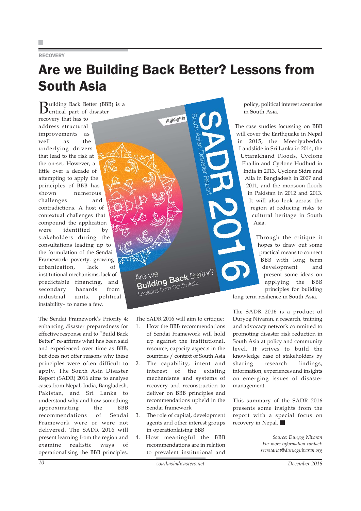#### **RECOVERY**

## Are we Building Back Better? Lessons from South Asia

Highlights

**B**uilding Back Better (BBB) is a critical part of disaster recovery that has to address structural improvements as well as the underlying drivers that lead to the risk at the on-set. However, a little over a decade of attempting to apply the principles of BBB has shown numerous challenges and contradictions. A host of contextual challenges that compound the application were identified by stakeholders during the consultations leading up to the formulation of the Sendai Framework: poverty, growing urbanization, lack of institutional mechanisms, lack of predictable financing, and secondary hazards from industrial units, political instability– to name a few.

The Sendai Framework's Priority 4: enhancing disaster preparedness for effective response and to "Build Back Better" re-affirms what has been said and experienced over time as BBB, but does not offer reasons why these principles were often difficult to apply. The South Asia Disaster Report (SADR) 2016 aims to analyse cases from Nepal, India, Bangladesh, Pakistan, and Sri Lanka to understand why and how something approximating the BBB recommendations of Sendai Framework were or were not delivered. The SADR 2016 will present learning from the region and examine realistic ways of operationalising the BBB principles.

policy, political interest scenarios in South Asia.

The case studies focussing on BBB will cover the Earthquake in Nepal in 2015, the Meeriyabedda Landslide in Sri Lanka in 2014, the Uttarakhand Floods, Cyclone Phailin and Cyclone Hudhud in India in 2013, Cyclone Sidre and Aila in Bangladesh in 2007 and 2011, and the monsoon floods in Pakistan in 2012 and 2013. It will also look across the region at reducing risks to cultural heritage in South Asia.

> Through the critique it hopes to draw out some practical means to connect BBB with long term development and present some ideas on applying the BBB principles for building

long term resilience in South Asia.

The SADR 2016 is a product of Duryog Nivaran, a research, training and advocacy network committed to promoting disaster risk reduction in South Asia at policy and community level. It strives to build the knowledge base of stakeholders by sharing research findings, information, experiences and insights on emerging issues of disaster management.

This summary of the SADR 2016 presents some insights from the report with a special focus on recovery in Nepal.

> *Source: Duryog Nivaran For more information contact: secretariat@duryognivaran.org*

*10 southasiadisasters.net December 2016*

3. The role of capital, development agents and other interest groups

in operationlaising BBB 4. How meaningful the BBB recommendations are in relation to prevalent institutional and

Sendai framework

The SADR 2016 will aim to critique: 1. How the BBB recommendations of Sendai Framework will hold up against the institutional, resource, capacity aspects in the countries / context of South Asia 2. The capability, intent and interest of the existing mechanisms and systems of recovery and reconstruction to deliver on BBB principles and recommendations upheld in the

Are We<br>**Building Back** Better

New**ight Back** De<br>**Building Back** De

Are We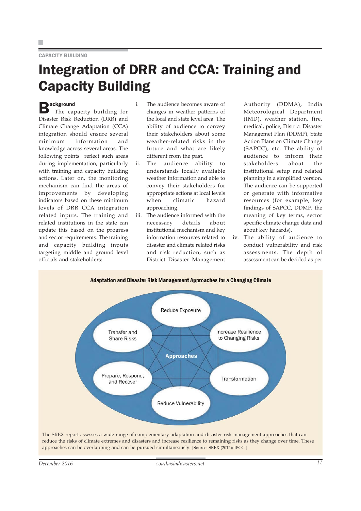#### CAPACITY BUILDING

### Integration of DRR and CCA: Training and Capacity Building

### **B**ackground

 The capacity building for Disaster Risk Reduction (DRR) and Climate Change Adaptation (CCA) integration should ensure several minimum information and knowledge across several areas. The following points reflect such areas during implementation, particularly with training and capacity building actions. Later on, the monitoring mechanism can find the areas of improvements by developing indicators based on these minimum levels of DRR CCA integration related inputs. The training and related institutions in the state can update this based on the progress and sector requirements. The training and capacity building inputs targeting middle and ground level officials and stakeholders:

- i. The audience becomes aware of changes in weather patterns of the local and state level area. The ability of audience to convey their stakeholders about some weather-related risks in the future and what are likely different from the past.
- ii. The audience ability to understands locally available weather information and able to convey their stakeholders for appropriate actions at local levels when climatic hazard approaching.
- iii. The audience informed with the necessary details about institutional mechanism and key information resources related to disaster and climate related risks and risk reduction, such as District Disaster Management

Authority (DDMA), India Meteorological Department (IMD), weather station, fire, medical, police, District Disaster Managemet Plan (DDMP), State Action Plans on Climate Change (SAPCC), etc. The ability of audience to inform their stakeholders about the institutional setup and related planning in a simplified version. The audience can be supported or generate with informative resources (for example, key findings of SAPCC, DDMP, the meaning of key terms, sector specific climate change data and about key hazards).

iv. The ability of audience to conduct vulnerability and risk assessments. The depth of assessment can be decided as per



The SREX report assesses a wide range of complementary adaptation and disaster risk management approaches that can reduce the risks of climate extremes and disasters and increase resilience to remaining risks as they change over time. These approaches can be overlapping and can be pursued simultaneously. [Source: SREX (2012); IPCC.]